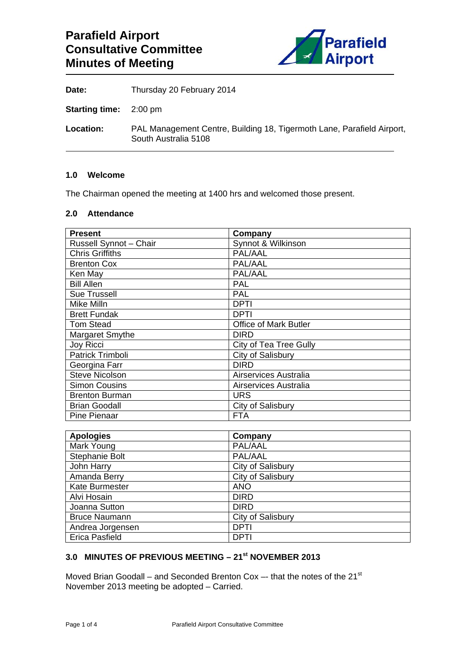

**Date:** Thursday 20 February 2014

**Starting time:** 2:00 pm

**Location:** PAL Management Centre, Building 18, Tigermoth Lane, Parafield Airport, South Australia 5108

#### **1.0 Welcome**

The Chairman opened the meeting at 1400 hrs and welcomed those present.

#### **2.0 Attendance**

| <b>Present</b>         | Company                      |
|------------------------|------------------------------|
| Russell Synnot - Chair | Synnot & Wilkinson           |
| <b>Chris Griffiths</b> | PAL/AAL                      |
| <b>Brenton Cox</b>     | PAL/AAL                      |
| Ken May                | PAL/AAL                      |
| <b>Bill Allen</b>      | PAL                          |
| <b>Sue Trussell</b>    | PAL                          |
| Mike Milln             | <b>DPTI</b>                  |
| <b>Brett Fundak</b>    | DPTI                         |
| <b>Tom Stead</b>       | <b>Office of Mark Butler</b> |
| Margaret Smythe        | <b>DIRD</b>                  |
| <b>Joy Ricci</b>       | City of Tea Tree Gully       |
| Patrick Trimboli       | City of Salisbury            |
| Georgina Farr          | <b>DIRD</b>                  |
| <b>Steve Nicolson</b>  | Airservices Australia        |
| <b>Simon Cousins</b>   | Airservices Australia        |
| <b>Brenton Burman</b>  | <b>URS</b>                   |
| <b>Brian Goodall</b>   | City of Salisbury            |
| Pine Pienaar           | <b>FTA</b>                   |

| <b>Apologies</b>      | Company           |
|-----------------------|-------------------|
| Mark Young            | PAL/AAL           |
| Stephanie Bolt        | PAL/AAL           |
| John Harry            | City of Salisbury |
| Amanda Berry          | City of Salisbury |
| <b>Kate Burmester</b> | <b>ANO</b>        |
| Alvi Hosain           | <b>DIRD</b>       |
| Joanna Sutton         | <b>DIRD</b>       |
| <b>Bruce Naumann</b>  | City of Salisbury |
| Andrea Jorgensen      | <b>DPTI</b>       |
| <b>Erica Pasfield</b> | <b>DPTI</b>       |

## **3.0 MINUTES OF PREVIOUS MEETING – 21st NOVEMBER 2013**

Moved Brian Goodall – and Seconded Brenton Cox –- that the notes of the 21 $\mathrm{^{st}}$ November 2013 meeting be adopted – Carried.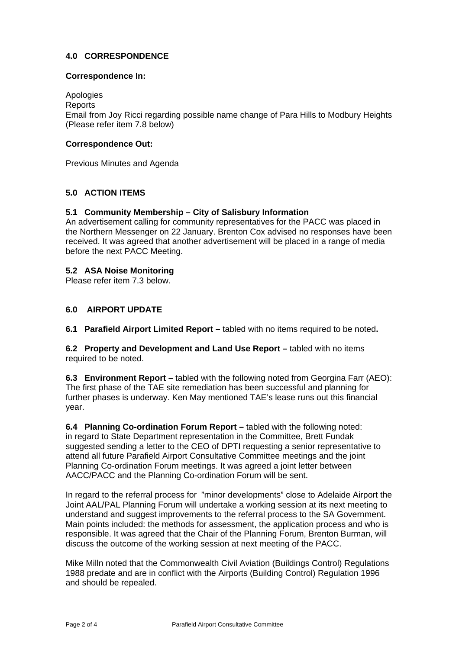## **4.0 CORRESPONDENCE**

### **Correspondence In:**

Apologies

**Reports** Email from Joy Ricci regarding possible name change of Para Hills to Modbury Heights (Please refer item 7.8 below)

## **Correspondence Out:**

Previous Minutes and Agenda

# **5.0 ACTION ITEMS**

## **5.1 Community Membership – City of Salisbury Information**

An advertisement calling for community representatives for the PACC was placed in the Northern Messenger on 22 January. Brenton Cox advised no responses have been received. It was agreed that another advertisement will be placed in a range of media before the next PACC Meeting.

### **5.2 ASA Noise Monitoring**

Please refer item 7.3 below.

### **6.0 AIRPORT UPDATE**

**6.1 Parafield Airport Limited Report –** tabled with no items required to be noted**.** 

**6.2 Property and Development and Land Use Report –** tabled with no items required to be noted.

**6.3 Environment Report –** tabled with the following noted from Georgina Farr (AEO): The first phase of the TAE site remediation has been successful and planning for further phases is underway. Ken May mentioned TAE's lease runs out this financial year.

**6.4 Planning Co-ordination Forum Report –** tabled with the following noted: in regard to State Department representation in the Committee, Brett Fundak suggested sending a letter to the CEO of DPTI requesting a senior representative to attend all future Parafield Airport Consultative Committee meetings and the joint Planning Co-ordination Forum meetings. It was agreed a joint letter between AACC/PACC and the Planning Co-ordination Forum will be sent.

In regard to the referral process for "minor developments" close to Adelaide Airport the Joint AAL/PAL Planning Forum will undertake a working session at its next meeting to understand and suggest improvements to the referral process to the SA Government. Main points included: the methods for assessment, the application process and who is responsible. It was agreed that the Chair of the Planning Forum, Brenton Burman, will discuss the outcome of the working session at next meeting of the PACC.

Mike Milln noted that the Commonwealth Civil Aviation (Buildings Control) Regulations 1988 predate and are in conflict with the Airports (Building Control) Regulation 1996 and should be repealed.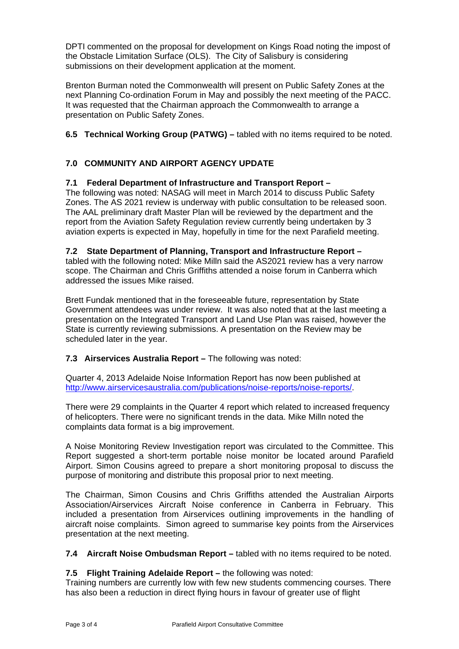DPTI commented on the proposal for development on Kings Road noting the impost of the Obstacle Limitation Surface (OLS). The City of Salisbury is considering submissions on their development application at the moment.

Brenton Burman noted the Commonwealth will present on Public Safety Zones at the next Planning Co-ordination Forum in May and possibly the next meeting of the PACC. It was requested that the Chairman approach the Commonwealth to arrange a presentation on Public Safety Zones.

## **6.5 Technical Working Group (PATWG) –** tabled with no items required to be noted.

# **7.0 COMMUNITY AND AIRPORT AGENCY UPDATE**

## **7.1 Federal Department of Infrastructure and Transport Report –**

The following was noted: NASAG will meet in March 2014 to discuss Public Safety Zones. The AS 2021 review is underway with public consultation to be released soon. The AAL preliminary draft Master Plan will be reviewed by the department and the report from the Aviation Safety Regulation review currently being undertaken by 3 aviation experts is expected in May, hopefully in time for the next Parafield meeting.

### **7.2 State Department of Planning, Transport and Infrastructure Report –**

tabled with the following noted: Mike Milln said the AS2021 review has a very narrow scope. The Chairman and Chris Griffiths attended a noise forum in Canberra which addressed the issues Mike raised.

Brett Fundak mentioned that in the foreseeable future, representation by State Government attendees was under review. It was also noted that at the last meeting a presentation on the Integrated Transport and Land Use Plan was raised, however the State is currently reviewing submissions. A presentation on the Review may be scheduled later in the year.

### **7.3 Airservices Australia Report – The following was noted:**

Quarter 4, 2013 Adelaide Noise Information Report has now been published at http://www.airservicesaustralia.com/publications/noise-reports/noise-reports/.

There were 29 complaints in the Quarter 4 report which related to increased frequency of helicopters. There were no significant trends in the data. Mike Milln noted the complaints data format is a big improvement.

A Noise Monitoring Review Investigation report was circulated to the Committee. This Report suggested a short-term portable noise monitor be located around Parafield Airport. Simon Cousins agreed to prepare a short monitoring proposal to discuss the purpose of monitoring and distribute this proposal prior to next meeting.

The Chairman, Simon Cousins and Chris Griffiths attended the Australian Airports Association/Airservices Aircraft Noise conference in Canberra in February. This included a presentation from Airservices outlining improvements in the handling of aircraft noise complaints. Simon agreed to summarise key points from the Airservices presentation at the next meeting.

**7.4 Aircraft Noise Ombudsman Report –** tabled with no items required to be noted.

### **7.5 Flight Training Adelaide Report –** the following was noted:

Training numbers are currently low with few new students commencing courses. There has also been a reduction in direct flying hours in favour of greater use of flight